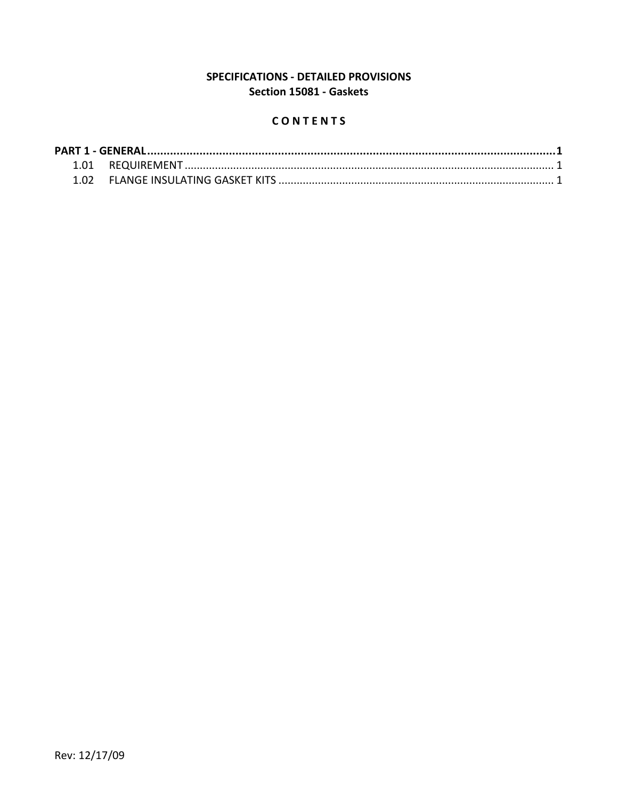# SPECIFICATIONS - DETAILED PROVISIONS Section 15081 - Gaskets

## CONTENTS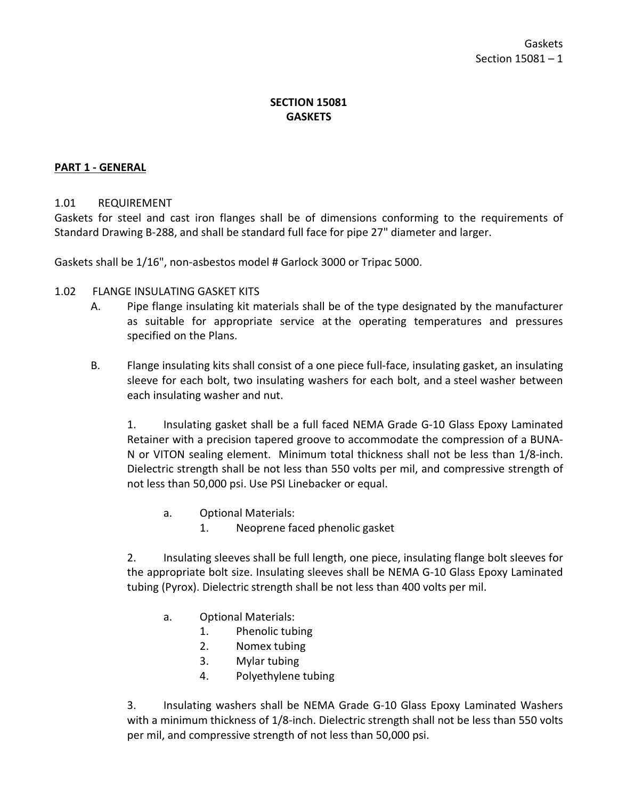# **SECTION 15081 GASKETS**

### <span id="page-2-0"></span>**PART 1 - GENERAL**

#### <span id="page-2-1"></span>1.01 REQUIREMENT

Gaskets for steel and cast iron flanges shall be of dimensions conforming to the requirements of Standard Drawing B-288, and shall be standard full face for pipe 27" diameter and larger.

Gaskets shall be 1/16", non-asbestos model # Garlock 3000 or Tripac 5000.

- 1.02 FLANGE INSULATING GASKET KITS
	- A. Pipe flange insulating kit materials shall be of the type designated by the manufacturer as suitable for appropriate service at the operating temperatures and pressures specified on the Plans.
	- B. Flange insulating kits shall consist of a one piece full-face, insulating gasket, an insulating sleeve for each bolt, two insulating washers for each bolt, and a steel washer between each insulating washer and nut.

1. Insulating gasket shall be a full faced NEMA Grade G-10 Glass Epoxy Laminated Retainer with a precision tapered groove to accommodate the compression of a BUNA-N or VITON sealing element. Minimum total thickness shall not be less than 1/8-inch. Dielectric strength shall be not less than 550 volts per mil, and compressive strength of not less than 50,000 psi. Use PSI Linebacker or equal.

- a. Optional Materials:
	- 1. Neoprene faced phenolic gasket

2. Insulating sleeves shall be full length, one piece, insulating flange bolt sleeves for the appropriate bolt size. Insulating sleeves shall be NEMA G-10 Glass Epoxy Laminated tubing (Pyrox). Dielectric strength shall be not less than 400 volts per mil.

- a. Optional Materials:
	- 1. Phenolic tubing
	- 2. Nomex tubing
	- 3. Mylar tubing
	- 4. Polyethylene tubing

3. Insulating washers shall be NEMA Grade G-10 Glass Epoxy Laminated Washers with a minimum thickness of 1/8-inch. Dielectric strength shall not be less than 550 volts per mil, and compressive strength of not less than 50,000 psi.